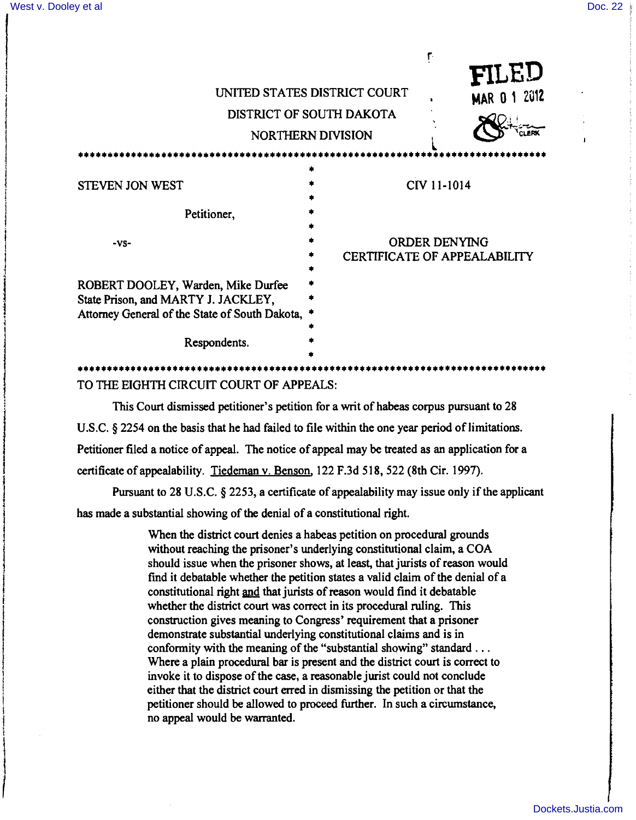I

 $\mathfrak{f}$ \ i<br>I  $\overline{\phantom{a}}$ 

|                                                                                                                               | ٢٠<br>FILED<br>UNITED STATES DISTRICT COURT<br><b>MAR 0 1 2012</b><br>DISTRICT OF SOUTH DAKOTA<br><b>NORTHERN DIVISION</b> |
|-------------------------------------------------------------------------------------------------------------------------------|----------------------------------------------------------------------------------------------------------------------------|
| STEVEN JON WEST<br>Petitioner,                                                                                                | CIV 11-1014                                                                                                                |
| $-VS-$                                                                                                                        | ORDER DENYING<br><b>CERTIFICATE OF APPEALABILITY</b>                                                                       |
| ROBERT DOOLEY, Warden, Mike Durfee<br>State Prison, and MARTY J. JACKLEY,<br>Attorney General of the State of South Dakota, * |                                                                                                                            |
| Respondents.                                                                                                                  |                                                                                                                            |

TO THE EIGHTH CIRCUIT COURT OF APPEALS:

This Court dismissed petitioner's petition for a writ of habeas corpus pursuant to 28 U.S.C. § 2254 on the basis that he had failed to file within the one year period of limitations. Petitioner filed a notice of appeal. The notice of appeal may be treated as an application for a certificate of appealability. Tiedeman v. Benson, 122 F.3d 518, 522 (8th Cir. 1997).

Pursuant to 28 U.S.C. § 2253, a certificate of appealability may issue only if the applicant has made a substantial showing of the denial of a constitutional right.

> When the district court denies a habeas petition on procedural grounds without reaching the prisoner's underlying constitutional claim, a COA should issue when the prisoner shows, at least, that jurists of reason would find it debatable whether the petition states a valid claim of the denial of a constitutional right and that jurists of reason would find it debatable whether the district court was correct in its procedural ruling. This construction gives meaning to Congress' requirement that a prisoner demonstrate substantial underlying constitutional claims and is in conformity with the meaning of the "substantial showing" standard ... Where a plain procedural bar is present and the district court is correct to invoke it to dispose of the case, a reasonable jurist could not conclude<br>either that the district court erred in dismissing the petition or that the<br>petitioner should be allowed to proceed further. In such a circumstance, no appeal would be warranted.